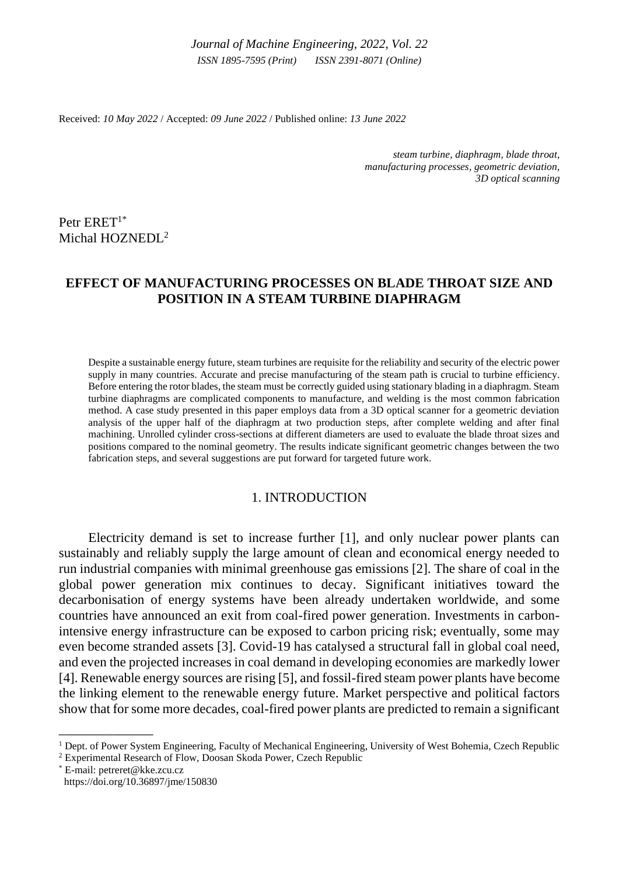*Journal of Machine Engineering, 2022*, *Vol. 22 ISSN 1895-7595 (Print) ISSN 2391-8071 (Online)*

Received: *10 May 2022* / Accepted: *09 June 2022* / Published online: *13 June 2022*

*steam turbine, diaphragm, blade throat, manufacturing processes, geometric deviation, 3D optical scanning*

Petr ERET<sup>1\*</sup> Michal HOZNEDL<sup>2</sup>

# **EFFECT OF MANUFACTURING PROCESSES ON BLADE THROAT SIZE AND POSITION IN A STEAM TURBINE DIAPHRAGM**

Despite a sustainable energy future, steam turbines are requisite for the reliability and security of the electric power supply in many countries. Accurate and precise manufacturing of the steam path is crucial to turbine efficiency. Before entering the rotor blades, the steam must be correctly guided using stationary blading in a diaphragm. Steam turbine diaphragms are complicated components to manufacture, and welding is the most common fabrication method. A case study presented in this paper employs data from a 3D optical scanner for a geometric deviation analysis of the upper half of the diaphragm at two production steps, after complete welding and after final machining. Unrolled cylinder cross-sections at different diameters are used to evaluate the blade throat sizes and positions compared to the nominal geometry. The results indicate significant geometric changes between the two fabrication steps, and several suggestions are put forward for targeted future work.

## 1. INTRODUCTION

Electricity demand is set to increase further [1], and only nuclear power plants can sustainably and reliably supply the large amount of clean and economical energy needed to run industrial companies with minimal greenhouse gas emissions [2]. The share of coal in the global power generation mix continues to decay. Significant initiatives toward the decarbonisation of energy systems have been already undertaken worldwide, and some countries have announced an exit from coal-fired power generation. Investments in carbonintensive energy infrastructure can be exposed to carbon pricing risk; eventually, some may even become stranded assets [3]. Covid-19 has catalysed a structural fall in global coal need, and even the projected increases in coal demand in developing economies are markedly lower [4]. Renewable energy sources are rising [5], and fossil-fired steam power plants have become the linking element to the renewable energy future. Market perspective and political factors show that for some more decades, coal-fired power plants are predicted to remain a significant

\_\_\_\_\_\_\_\_\_\_\_\_\_\_

<sup>&</sup>lt;sup>1</sup> Dept. of Power System Engineering, Faculty of Mechanical Engineering, University of West Bohemia, Czech Republic

<sup>&</sup>lt;sup>2</sup> Experimental Research of Flow, Doosan Skoda Power, Czech Republic

<sup>\*</sup> E-mail: [petreret@kke.zcu.cz](mailto:petreret@kke.zcu.cz) https://doi.org/10.36897/jme/150830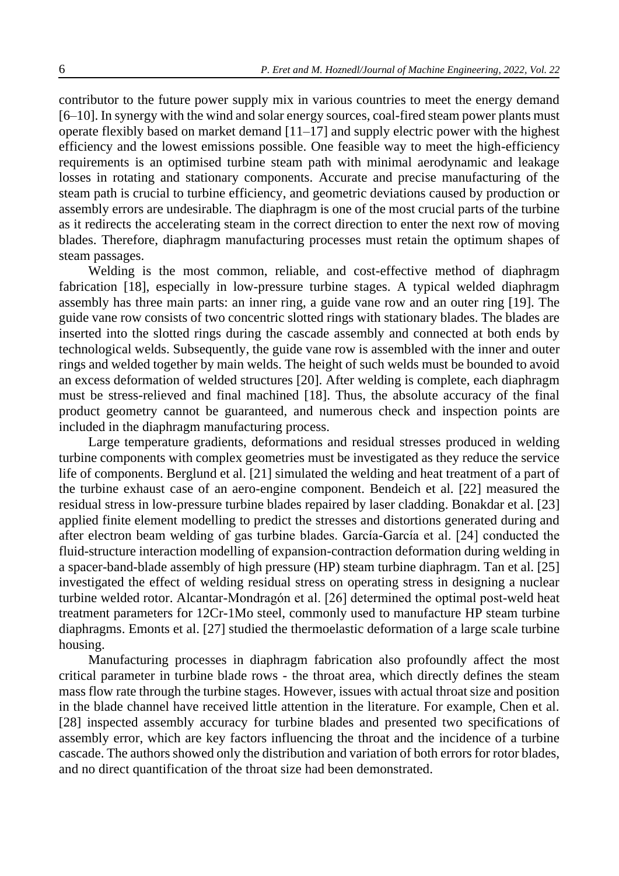contributor to the future power supply mix in various countries to meet the energy demand [6–10]. In synergy with the wind and solar energy sources, coal-fired steam power plants must operate flexibly based on market demand [11–17] and supply electric power with the highest efficiency and the lowest emissions possible. One feasible way to meet the high-efficiency requirements is an optimised turbine steam path with minimal aerodynamic and leakage losses in rotating and stationary components. Accurate and precise manufacturing of the steam path is crucial to turbine efficiency, and geometric deviations caused by production or assembly errors are undesirable. The diaphragm is one of the most crucial parts of the turbine as it redirects the accelerating steam in the correct direction to enter the next row of moving blades. Therefore, diaphragm manufacturing processes must retain the optimum shapes of steam passages.

Welding is the most common, reliable, and cost-effective method of diaphragm fabrication [18], especially in low-pressure turbine stages. A typical welded diaphragm assembly has three main parts: an inner ring, a guide vane row and an outer ring [19]. The guide vane row consists of two concentric slotted rings with stationary blades. The blades are inserted into the slotted rings during the cascade assembly and connected at both ends by technological welds. Subsequently, the guide vane row is assembled with the inner and outer rings and welded together by main welds. The height of such welds must be bounded to avoid an excess deformation of welded structures [20]. After welding is complete, each diaphragm must be stress-relieved and final machined [18]. Thus, the absolute accuracy of the final product geometry cannot be guaranteed, and numerous check and inspection points are included in the diaphragm manufacturing process.

Large temperature gradients, deformations and residual stresses produced in welding turbine components with complex geometries must be investigated as they reduce the service life of components. Berglund et al. [21] simulated the welding and heat treatment of a part of the turbine exhaust case of an aero-engine component. Bendeich et al. [22] measured the residual stress in low-pressure turbine blades repaired by laser cladding. Bonakdar et al. [23] applied finite element modelling to predict the stresses and distortions generated during and after electron beam welding of gas turbine blades. García-García et al. [24] conducted the fluid-structure interaction modelling of expansion-contraction deformation during welding in a spacer-band-blade assembly of high pressure (HP) steam turbine diaphragm. Tan et al. [25] investigated the effect of welding residual stress on operating stress in designing a nuclear turbine welded rotor. Alcantar-Mondragón et al. [26] determined the optimal post-weld heat treatment parameters for 12Cr-1Mo steel, commonly used to manufacture HP steam turbine diaphragms. Emonts et al. [27] studied the thermoelastic deformation of a large scale turbine housing.

Manufacturing processes in diaphragm fabrication also profoundly affect the most critical parameter in turbine blade rows - the throat area, which directly defines the steam mass flow rate through the turbine stages. However, issues with actual throat size and position in the blade channel have received little attention in the literature. For example, Chen et al. [28] inspected assembly accuracy for turbine blades and presented two specifications of assembly error, which are key factors influencing the throat and the incidence of a turbine cascade. The authors showed only the distribution and variation of both errors for rotor blades, and no direct quantification of the throat size had been demonstrated.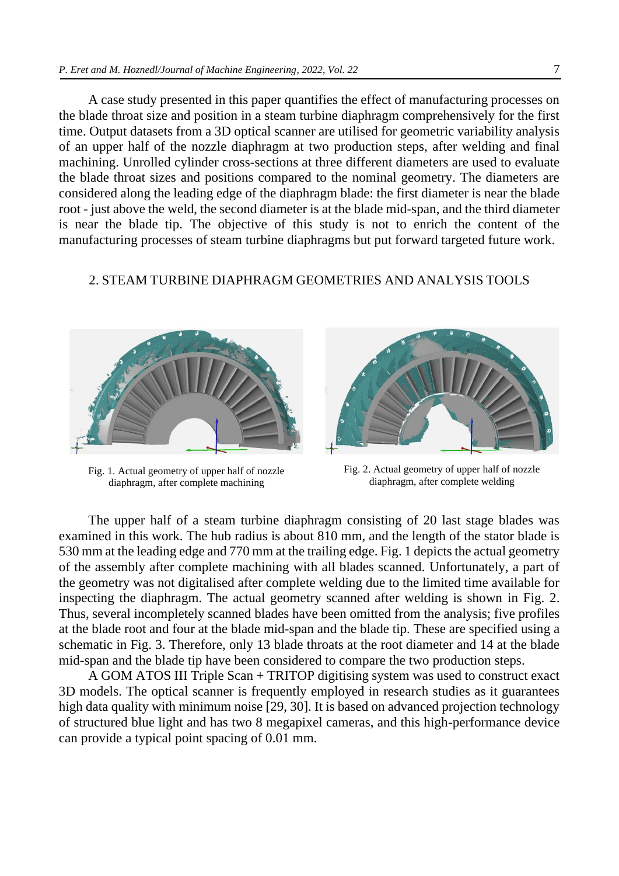A case study presented in this paper quantifies the effect of manufacturing processes on the blade throat size and position in a steam turbine diaphragm comprehensively for the first time. Output datasets from a 3D optical scanner are utilised for geometric variability analysis of an upper half of the nozzle diaphragm at two production steps, after welding and final machining. Unrolled cylinder cross-sections at three different diameters are used to evaluate the blade throat sizes and positions compared to the nominal geometry. The diameters are considered along the leading edge of the diaphragm blade: the first diameter is near the blade root - just above the weld, the second diameter is at the blade mid-span, and the third diameter is near the blade tip. The objective of this study is not to enrich the content of the manufacturing processes of steam turbine diaphragms but put forward targeted future work.

# 2. STEAM TURBINE DIAPHRAGM GEOMETRIES AND ANALYSIS TOOLS



Fig. 1. Actual geometry of upper half of nozzle diaphragm, after complete machining



Fig. 2. Actual geometry of upper half of nozzle diaphragm, after complete welding

The upper half of a steam turbine diaphragm consisting of 20 last stage blades was examined in this work. The hub radius is about 810 mm, and the length of the stator blade is 530 mm at the leading edge and 770 mm at the trailing edge. Fig. 1 depicts the actual geometry of the assembly after complete machining with all blades scanned. Unfortunately, a part of the geometry was not digitalised after complete welding due to the limited time available for inspecting the diaphragm. The actual geometry scanned after welding is shown in Fig. 2. Thus, several incompletely scanned blades have been omitted from the analysis; five profiles at the blade root and four at the blade mid-span and the blade tip. These are specified using a schematic in Fig. 3. Therefore, only 13 blade throats at the root diameter and 14 at the blade mid-span and the blade tip have been considered to compare the two production steps.

A GOM ATOS III Triple Scan + TRITOP digitising system was used to construct exact 3D models. The optical scanner is frequently employed in research studies as it guarantees high data quality with minimum noise [29, 30]. It is based on advanced projection technology of structured blue light and has two 8 megapixel cameras, and this high-performance device can provide a typical point spacing of 0.01 mm.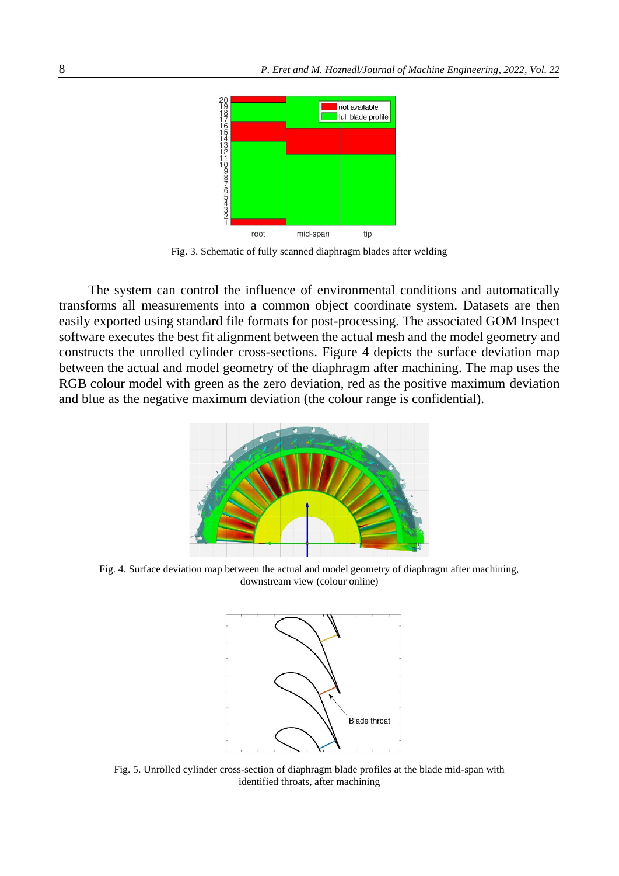

Fig. 3. Schematic of fully scanned diaphragm blades after welding

The system can control the influence of environmental conditions and automatically transforms all measurements into a common object coordinate system. Datasets are then easily exported using standard file formats for post-processing. The associated GOM Inspect software executes the best fit alignment between the actual mesh and the model geometry and constructs the unrolled cylinder cross-sections. Figure 4 depicts the surface deviation map between the actual and model geometry of the diaphragm after machining. The map uses the RGB colour model with green as the zero deviation, red as the positive maximum deviation and blue as the negative maximum deviation (the colour range is confidential).



Fig. 4. Surface deviation map between the actual and model geometry of diaphragm after machining, downstream view (colour online)



Fig. 5. Unrolled cylinder cross-section of diaphragm blade profiles at the blade mid-span with identified throats, after machining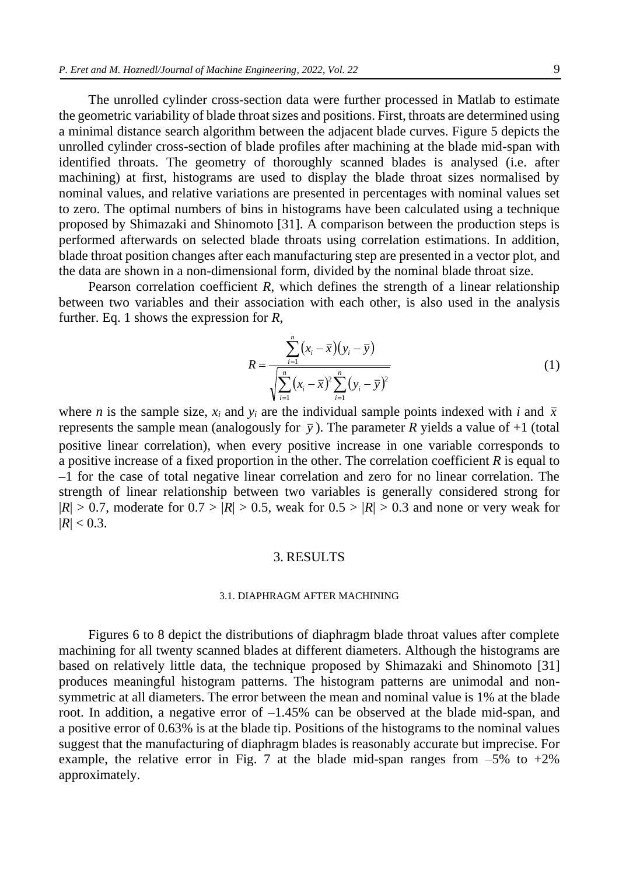The unrolled cylinder cross-section data were further processed in Matlab to estimate the geometric variability of blade throat sizes and positions. First, throats are determined using a minimal distance search algorithm between the adjacent blade curves. Figure 5 depicts the unrolled cylinder cross-section of blade profiles after machining at the blade mid-span with identified throats. The geometry of thoroughly scanned blades is analysed (i.e. after machining) at first, histograms are used to display the blade throat sizes normalised by nominal values, and relative variations are presented in percentages with nominal values set to zero. The optimal numbers of bins in histograms have been calculated using a technique proposed by Shimazaki and Shinomoto [31]. A comparison between the production steps is performed afterwards on selected blade throats using correlation estimations. In addition, blade throat position changes after each manufacturing step are presented in a vector plot, and the data are shown in a non-dimensional form, divided by the nominal blade throat size.

Pearson correlation coefficient *R*, which defines the strength of a linear relationship between two variables and their association with each other, is also used in the analysis further. Eq. 1 shows the expression for *R*,

$$
R = \frac{\sum_{i=1}^{n} (x_i - \bar{x})(y_i - \bar{y})}{\sqrt{\sum_{i=1}^{n} (x_i - \bar{x})^2 \sum_{i=1}^{n} (y_i - \bar{y})^2}}
$$
(1)

where *n* is the sample size,  $x_i$  and  $y_i$  are the individual sample points indexed with *i* and  $\bar{x}$ represents the sample mean (analogously for  $\bar{y}$ ). The parameter *R* yields a value of +1 (total positive linear correlation), when every positive increase in one variable corresponds to a positive increase of a fixed proportion in the other. The correlation coefficient *R* is equal to –1 for the case of total negative linear correlation and zero for no linear correlation. The strength of linear relationship between two variables is generally considered strong for  $|R| > 0.7$ , moderate for  $0.7 > |R| > 0.5$ , weak for  $0.5 > |R| > 0.3$  and none or very weak for  $|R| < 0.3$ .

## 3. RESULTS

#### 3.1. DIAPHRAGM AFTER MACHINING

Figures 6 to 8 depict the distributions of diaphragm blade throat values after complete machining for all twenty scanned blades at different diameters. Although the histograms are based on relatively little data, the technique proposed by Shimazaki and Shinomoto [31] produces meaningful histogram patterns. The histogram patterns are unimodal and nonsymmetric at all diameters. The error between the mean and nominal value is 1% at the blade root. In addition, a negative error of –1.45% can be observed at the blade mid-span, and a positive error of 0.63% is at the blade tip. Positions of the histograms to the nominal values suggest that the manufacturing of diaphragm blades is reasonably accurate but imprecise. For example, the relative error in Fig. 7 at the blade mid-span ranges from  $-5\%$  to  $+2\%$ approximately.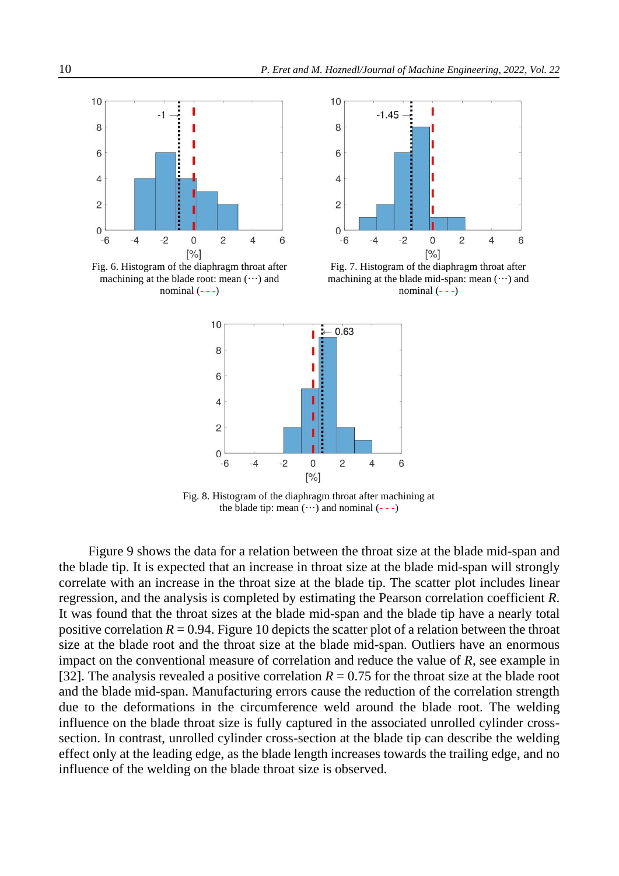





Fig. 7. Histogram of the diaphragm throat after machining at the blade mid-span: mean (**···**) and nominal (**- - -**)



Fig. 8. Histogram of the diaphragm throat after machining at the blade tip: mean (**···**) and nominal (**- - -**)

Figure 9 shows the data for a relation between the throat size at the blade mid-span and the blade tip. It is expected that an increase in throat size at the blade mid-span will strongly correlate with an increase in the throat size at the blade tip. The scatter plot includes linear regression, and the analysis is completed by estimating the Pearson correlation coefficient *R*. It was found that the throat sizes at the blade mid-span and the blade tip have a nearly total positive correlation  $R = 0.94$ . Figure 10 depicts the scatter plot of a relation between the throat size at the blade root and the throat size at the blade mid-span. Outliers have an enormous impact on the conventional measure of correlation and reduce the value of *R*, see example in [32]. The analysis revealed a positive correlation  $R = 0.75$  for the throat size at the blade root and the blade mid-span. Manufacturing errors cause the reduction of the correlation strength due to the deformations in the circumference weld around the blade root. The welding influence on the blade throat size is fully captured in the associated unrolled cylinder crosssection. In contrast, unrolled cylinder cross-section at the blade tip can describe the welding effect only at the leading edge, as the blade length increases towards the trailing edge, and no influence of the welding on the blade throat size is observed.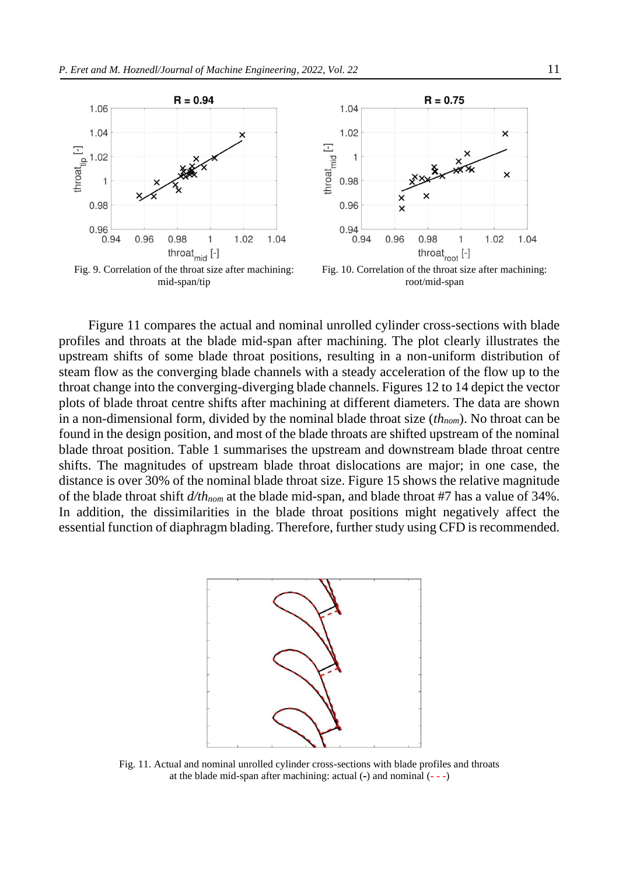

Figure 11 compares the actual and nominal unrolled cylinder cross-sections with blade profiles and throats at the blade mid-span after machining. The plot clearly illustrates the upstream shifts of some blade throat positions, resulting in a non-uniform distribution of steam flow as the converging blade channels with a steady acceleration of the flow up to the throat change into the converging-diverging blade channels. Figures 12 to 14 depict the vector plots of blade throat centre shifts after machining at different diameters. The data are shown in a non-dimensional form, divided by the nominal blade throat size (*thnom*). No throat can be found in the design position, and most of the blade throats are shifted upstream of the nominal blade throat position. Table 1 summarises the upstream and downstream blade throat centre shifts. The magnitudes of upstream blade throat dislocations are major; in one case, the distance is over 30% of the nominal blade throat size. Figure 15 shows the relative magnitude of the blade throat shift *d/thnom* at the blade mid-span, and blade throat #7 has a value of 34%. In addition, the dissimilarities in the blade throat positions might negatively affect the essential function of diaphragm blading. Therefore, further study using CFD is recommended.



Fig. 11. Actual and nominal unrolled cylinder cross-sections with blade profiles and throats at the blade mid-span after machining: actual () and nominal (**- - -**)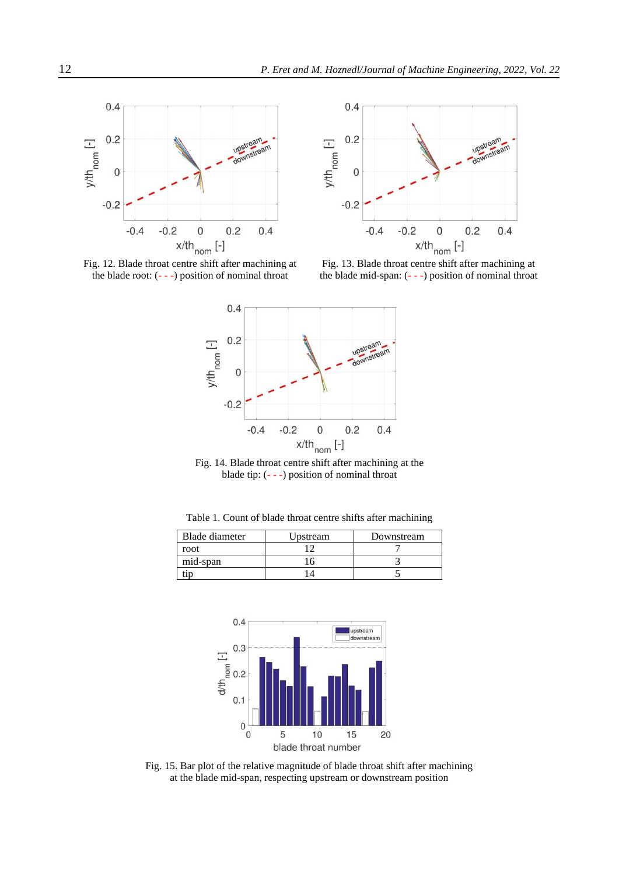



Fig. 12. Blade throat centre shift after machining at the blade root: (**- - -**) position of nominal throat

Fig. 13. Blade throat centre shift after machining at the blade mid-span: (**- - -**) position of nominal throat



Fig. 14. Blade throat centre shift after machining at the blade tip: (**- - -**) position of nominal throat

Table 1. Count of blade throat centre shifts after machining

| Blade diameter | Upstream | Downstream |
|----------------|----------|------------|
| root           |          |            |
| mid-span       |          |            |
|                |          |            |



Fig. 15. Bar plot of the relative magnitude of blade throat shift after machining at the blade mid-span, respecting upstream or downstream position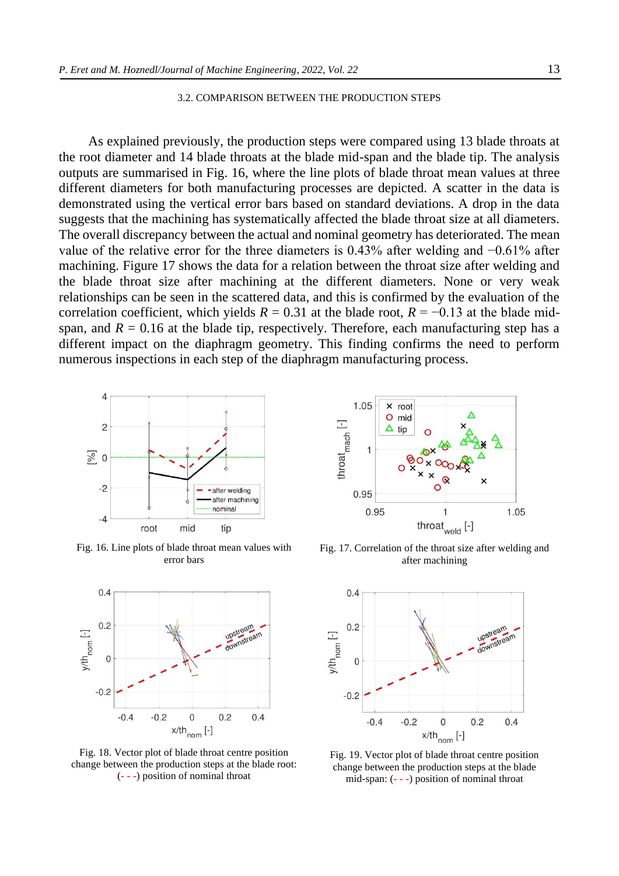## 3.2. COMPARISON BETWEEN THE PRODUCTION STEPS

As explained previously, the production steps were compared using 13 blade throats at the root diameter and 14 blade throats at the blade mid-span and the blade tip. The analysis outputs are summarised in Fig. 16, where the line plots of blade throat mean values at three different diameters for both manufacturing processes are depicted. A scatter in the data is demonstrated using the vertical error bars based on standard deviations. A drop in the data suggests that the machining has systematically affected the blade throat size at all diameters. The overall discrepancy between the actual and nominal geometry has deteriorated. The mean value of the relative error for the three diameters is 0.43% after welding and −0.61% after machining. Figure 17 shows the data for a relation between the throat size after welding and the blade throat size after machining at the different diameters. None or very weak relationships can be seen in the scattered data, and this is confirmed by the evaluation of the correlation coefficient, which yields  $R = 0.31$  at the blade root,  $R = -0.13$  at the blade midspan, and  $R = 0.16$  at the blade tip, respectively. Therefore, each manufacturing step has a different impact on the diaphragm geometry. This finding confirms the need to perform numerous inspections in each step of the diaphragm manufacturing process.



Fig. 16. Line plots of blade throat mean values with error bars



Fig. 18. Vector plot of blade throat centre position change between the production steps at the blade root: (**- - -**) position of nominal throat



Fig. 17. Correlation of the throat size after welding and after machining



Fig. 19. Vector plot of blade throat centre position change between the production steps at the blade mid-span: (**- - -**) position of nominal throat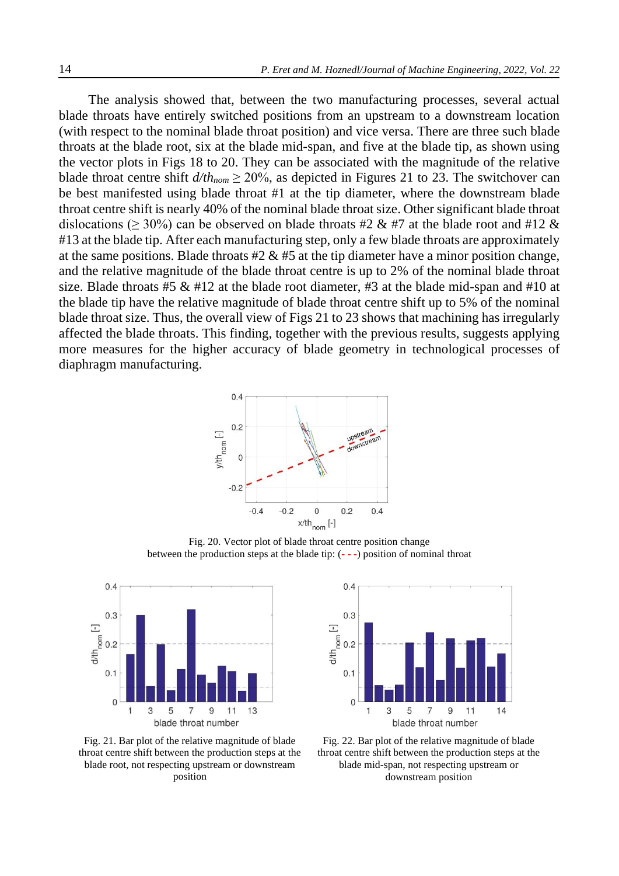The analysis showed that, between the two manufacturing processes, several actual blade throats have entirely switched positions from an upstream to a downstream location (with respect to the nominal blade throat position) and vice versa. There are three such blade throats at the blade root, six at the blade mid-span, and five at the blade tip, as shown using the vector plots in Figs 18 to 20. They can be associated with the magnitude of the relative blade throat centre shift  $d / t h_{nom} \ge 20\%$ , as depicted in Figures 21 to 23. The switchover can be best manifested using blade throat #1 at the tip diameter, where the downstream blade throat centre shift is nearly 40% of the nominal blade throat size. Other significant blade throat dislocations ( $\geq 30\%$ ) can be observed on blade throats #2 & #7 at the blade root and #12 & #13 at the blade tip. After each manufacturing step, only a few blade throats are approximately at the same positions. Blade throats  $#2 \& #5$  at the tip diameter have a minor position change, and the relative magnitude of the blade throat centre is up to 2% of the nominal blade throat size. Blade throats #5 & #12 at the blade root diameter, #3 at the blade mid-span and #10 at the blade tip have the relative magnitude of blade throat centre shift up to 5% of the nominal blade throat size. Thus, the overall view of Figs 21 to 23 shows that machining has irregularly affected the blade throats. This finding, together with the previous results, suggests applying more measures for the higher accuracy of blade geometry in technological processes of diaphragm manufacturing.



Fig. 20. Vector plot of blade throat centre position change between the production steps at the blade tip: (**- - -**) position of nominal throat



 $0.4$  $0.3$  $d/th_{nom}$  [-]  $0.2$  $0.1$  $\Omega$ 3 5  $\overline{7}$ 9  $11$  $14$ blade throat number

Fig. 21. Bar plot of the relative magnitude of blade throat centre shift between the production steps at the blade root, not respecting upstream or downstream position

Fig. 22. Bar plot of the relative magnitude of blade throat centre shift between the production steps at the blade mid-span, not respecting upstream or downstream position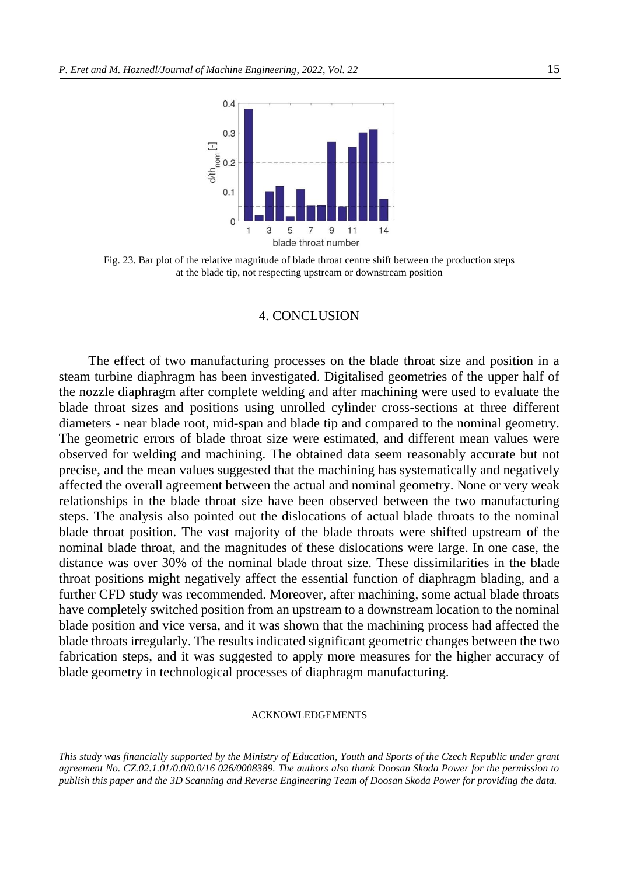

Fig. 23. Bar plot of the relative magnitude of blade throat centre shift between the production steps at the blade tip, not respecting upstream or downstream position

## 4. CONCLUSION

The effect of two manufacturing processes on the blade throat size and position in a steam turbine diaphragm has been investigated. Digitalised geometries of the upper half of the nozzle diaphragm after complete welding and after machining were used to evaluate the blade throat sizes and positions using unrolled cylinder cross-sections at three different diameters - near blade root, mid-span and blade tip and compared to the nominal geometry. The geometric errors of blade throat size were estimated, and different mean values were observed for welding and machining. The obtained data seem reasonably accurate but not precise, and the mean values suggested that the machining has systematically and negatively affected the overall agreement between the actual and nominal geometry. None or very weak relationships in the blade throat size have been observed between the two manufacturing steps. The analysis also pointed out the dislocations of actual blade throats to the nominal blade throat position. The vast majority of the blade throats were shifted upstream of the nominal blade throat, and the magnitudes of these dislocations were large. In one case, the distance was over 30% of the nominal blade throat size. These dissimilarities in the blade throat positions might negatively affect the essential function of diaphragm blading, and a further CFD study was recommended. Moreover, after machining, some actual blade throats have completely switched position from an upstream to a downstream location to the nominal blade position and vice versa, and it was shown that the machining process had affected the blade throats irregularly. The results indicated significant geometric changes between the two fabrication steps, and it was suggested to apply more measures for the higher accuracy of blade geometry in technological processes of diaphragm manufacturing.

### ACKNOWLEDGEMENTS

*This study was financially supported by the Ministry of Education, Youth and Sports of the Czech Republic under grant agreement No. CZ.02.1.01/0.0/0.0/16 026/0008389. The authors also thank Doosan Skoda Power for the permission to publish this paper and the 3D Scanning and Reverse Engineering Team of Doosan Skoda Power for providing the data.*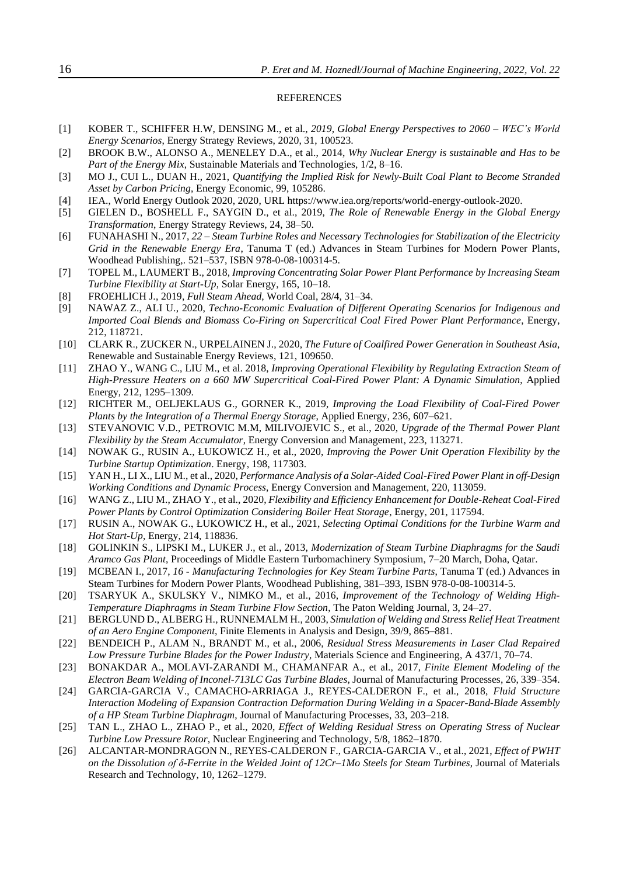#### REFERENCES

- [1] KOBER T., SCHIFFER H.W, DENSING M., et al., *2019, Global Energy Perspectives to 2060 – WEC's World Energy Scenarios*, Energy Strategy Reviews, 2020, 31, 100523.
- [2] BROOK B.W., ALONSO A., MENELEY D.A., et al., 2014, *Why Nuclear Energy is sustainable and Has to be Part of the Energy Mix*, Sustainable Materials and Technologies, 1/2, 8–16.
- [3] MO J., CUI L., DUAN H., 2021, *Quantifying the Implied Risk for Newly-Built Coal Plant to Become Stranded Asset by Carbon Pricing*, Energy Economic, 99, 105286.
- [4] IEA., World Energy Outlook 2020, 2020, URL [https://www.iea.org/reports/world-energy-outlook-2020.](https://www.iea.org/reports/world-energy-outlook-2020)
- [5] GIELEN D., BOSHELL F., SAYGIN D., et al., 2019, *The Role of Renewable Energy in the Global Energy Transformation*, Energy Strategy Reviews, 24, 38–50.
- [6] FUNAHASHI N., 2017, *22 – Steam Turbine Roles and Necessary Technologies for Stabilization of the Electricity Grid in the Renewable Energy Era*, Tanuma T (ed.) Advances in Steam Turbines for Modern Power Plants, Woodhead Publishing,. 521–537, ISBN 978-0-08-100314-5.
- [7] TOPEL M., LAUMERT B., 2018, *Improving Concentrating Solar Power Plant Performance by Increasing Steam Turbine Flexibility at Start-Up*, Solar Energy, 165, 10–18.
- [8] FROEHLICH J., 2019, *Full Steam Ahead*, World Coal, 28/4, 31–34.
- [9] NAWAZ Z., ALI U., 2020, *Techno-Economic Evaluation of Different Operating Scenarios for Indigenous and Imported Coal Blends and Biomass Co-Firing on Supercritical Coal Fired Power Plant Performance*, Energy, 212, 118721.
- [10] CLARK R., ZUCKER N., URPELAINEN J., 2020, *The Future of Coalfired Power Generation in Southeast Asia*, Renewable and Sustainable Energy Reviews, 121, 109650.
- [11] ZHAO Y., WANG C., LIU M., et al. 2018, *Improving Operational Flexibility by Regulating Extraction Steam of High-Pressure Heaters on a 660 MW Supercritical Coal-Fired Power Plant: A Dynamic Simulation*, Applied Energy, 212, 1295–1309.
- [12] RICHTER M., OELJEKLAUS G., GORNER K., 2019, *Improving the Load Flexibility of Coal-Fired Power Plants by the Integration of a Thermal Energy Storage*, Applied Energy, 236, 607–621.
- [13] STEVANOVIC V.D., PETROVIC M.M, MILIVOJEVIC S., et al., 2020, *Upgrade of the Thermal Power Plant Flexibility by the Steam Accumulator*, Energy Conversion and Management, 223, 113271.
- [14] NOWAK G., RUSIN A., ŁUKOWICZ H., et al., 2020, *Improving the Power Unit Operation Flexibility by the Turbine Startup Optimization*. Energy, 198, 117303.
- [15] YAN H., LI X., LIU M., et al., 2020, *Performance Analysis of a Solar-Aided Coal-Fired Power Plant in off-Design Working Conditions and Dynamic Process*, Energy Conversion and Management, 220, 113059.
- [16] WANG Z., LIU M., ZHAO Y., et al., 2020, *Flexibility and Efficiency Enhancement for Double-Reheat Coal-Fired Power Plants by Control Optimization Considering Boiler Heat Storage*, Energy, 201, 117594.
- [17] RUSIN A., NOWAK G., ŁUKOWICZ H., et al., 2021, *Selecting Optimal Conditions for the Turbine Warm and Hot Start-Up*, Energy, 214, 118836.
- [18] GOLINKIN S., LIPSKI M., LUKER J., et al., 2013, *Modernization of Steam Turbine Diaphragms for the Saudi Aramco Gas Plant*, Proceedings of Middle Eastern Turbomachinery Symposium, 7–20 March, Doha, Qatar.
- [19] MCBEAN I., 2017, *16 - Manufacturing Technologies for Key Steam Turbine Parts*, Tanuma T (ed.) Advances in Steam Turbines for Modern Power Plants, Woodhead Publishing, 381–393, ISBN 978-0-08-100314-5.
- [20] TSARYUK A., SKULSKY V., NIMKO M., et al., 2016, *Improvement of the Technology of Welding High-Temperature Diaphragms in Steam Turbine Flow Section*, The Paton Welding Journal, 3, 24–27.
- [21] BERGLUND D., ALBERG H., RUNNEMALM H., 2003, *Simulation of Welding and Stress Relief Heat Treatment of an Aero Engine Component*, Finite Elements in Analysis and Design, 39/9, 865–881.
- [22] BENDEICH P., ALAM N., BRANDT M., et al., 2006, *Residual Stress Measurements in Laser Clad Repaired Low Pressure Turbine Blades for the Power Industry*, Materials Science and Engineering, A 437/1, 70–74.
- [23] BONAKDAR A., MOLAVI-ZARANDI M., CHAMANFAR A., et al., 2017, *Finite Element Modeling of the Electron Beam Welding of Inconel-713LC Gas Turbine Blades*, Journal of Manufacturing Processes, 26, 339–354.
- [24] GARCIA-GARCIA V., CAMACHO-ARRIAGA J., REYES-CALDERON F., et al., 2018, *Fluid Structure Interaction Modeling of Expansion Contraction Deformation During Welding in a Spacer-Band-Blade Assembly of a HP Steam Turbine Diaphragm*, Journal of Manufacturing Processes, 33, 203–218.
- [25] TAN L., ZHAO L., ZHAO P., et al., 2020, *Effect of Welding Residual Stress on Operating Stress of Nuclear Turbine Low Pressure Rotor*, Nuclear Engineering and Technology, 5/8, 1862–1870.
- [26] ALCANTAR-MONDRAGON N., REYES-CALDERON F., GARCIA-GARCIA V., et al., 2021, *Effect of PWHT on the Dissolution of δ-Ferrite in the Welded Joint of 12Cr–1Mo Steels for Steam Turbines*, Journal of Materials Research and Technology, 10, 1262–1279.